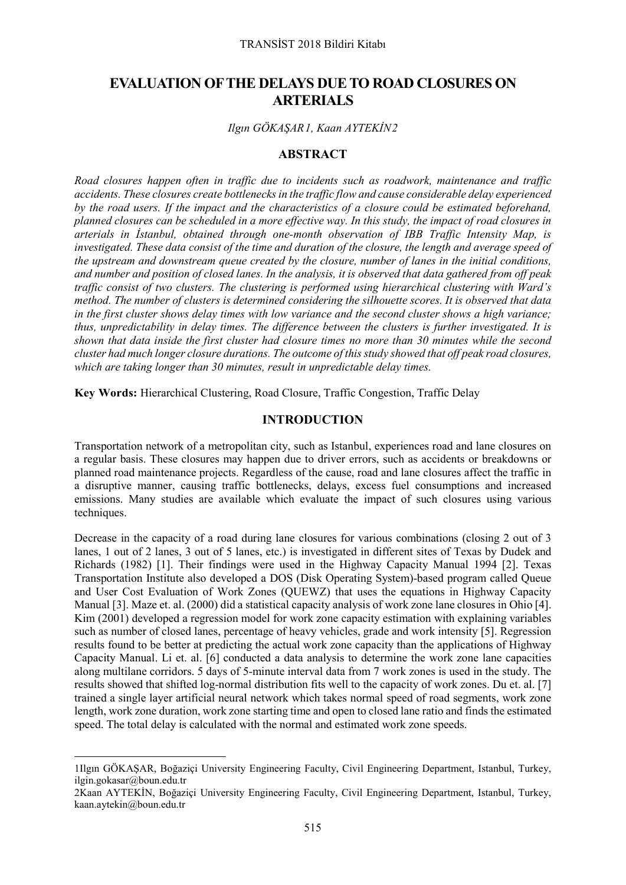# **EVALUATION OF THE DELAYS DUE TO ROAD CLOSURES ON ARTERIALS**

## *Ilgın GÖKAŞAR[1](#page-0-0), Kaan AYTEKİN[2](#page-0-1)*

## **ABSTRACT**

*Road closures happen often in traffic due to incidents such as roadwork, maintenance and traffic accidents. These closures create bottlenecks in the traffic flow and cause considerable delay experienced by the road users. If the impact and the characteristics of a closure could be estimated beforehand, planned closures can be scheduled in a more effective way. In this study, the impact of road closures in arterials in İstanbul, obtained through one-month observation of IBB Traffic Intensity Map, is investigated. These data consist of the time and duration of the closure, the length and average speed of the upstream and downstream queue created by the closure, number of lanes in the initial conditions, and number and position of closed lanes. In the analysis, it is observed that data gathered from off peak traffic consist of two clusters. The clustering is performed using hierarchical clustering with Ward's method. The number of clusters is determined considering the silhouette scores. It is observed that data in the first cluster shows delay times with low variance and the second cluster shows a high variance; thus, unpredictability in delay times. The difference between the clusters is further investigated. It is shown that data inside the first cluster had closure times no more than 30 minutes while the second cluster had much longer closure durations. The outcome of this study showed that off peak road closures, which are taking longer than 30 minutes, result in unpredictable delay times.*

**Key Words:** Hierarchical Clustering, Road Closure, Traffic Congestion, Traffic Delay

# **INTRODUCTION**

Transportation network of a metropolitan city, such as Istanbul, experiences road and lane closures on a regular basis. These closures may happen due to driver errors, such as accidents or breakdowns or planned road maintenance projects. Regardless of the cause, road and lane closures affect the traffic in a disruptive manner, causing traffic bottlenecks, delays, excess fuel consumptions and increased emissions. Many studies are available which evaluate the impact of such closures using various techniques.

Decrease in the capacity of a road during lane closures for various combinations (closing 2 out of 3 lanes, 1 out of 2 lanes, 3 out of 5 lanes, etc.) is investigated in different sites of Texas by Dudek and Richards (1982) [1]. Their findings were used in the Highway Capacity Manual 1994 [2]. Texas Transportation Institute also developed a DOS (Disk Operating System)-based program called Queue and User Cost Evaluation of Work Zones (QUEWZ) that uses the equations in Highway Capacity Manual [3]. Maze et. al. (2000) did a statistical capacity analysis of work zone lane closures in Ohio [4]. Kim (2001) developed a regression model for work zone capacity estimation with explaining variables such as number of closed lanes, percentage of heavy vehicles, grade and work intensity [5]. Regression results found to be better at predicting the actual work zone capacity than the applications of Highway Capacity Manual. Li et. al. [6] conducted a data analysis to determine the work zone lane capacities along multilane corridors. 5 days of 5-minute interval data from 7 work zones is used in the study. The results showed that shifted log-normal distribution fits well to the capacity of work zones. Du et. al. [7] trained a single layer artificial neural network which takes normal speed of road segments, work zone length, work zone duration, work zone starting time and open to closed lane ratio and finds the estimated speed. The total delay is calculated with the normal and estimated work zone speeds.

 $\overline{a}$ 

<span id="page-0-0"></span><sup>1</sup>Ilgın GÖKAŞAR, Boğaziçi University Engineering Faculty, Civil Engineering Department, Istanbul, Turkey, ilgin.gokasar@boun.edu.tr

<span id="page-0-1"></span><sup>2</sup>Kaan AYTEKİN, Boğaziçi University Engineering Faculty, Civil Engineering Department, Istanbul, Turkey, kaan.aytekin@boun.edu.tr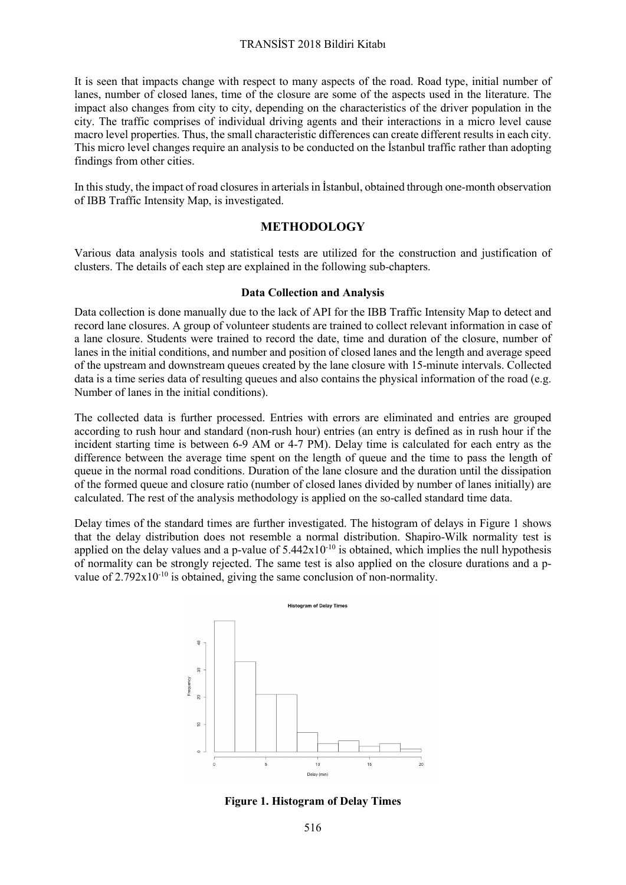### TRANSİST 2018 Bildiri Kitabı

It is seen that impacts change with respect to many aspects of the road. Road type, initial number of lanes, number of closed lanes, time of the closure are some of the aspects used in the literature. The impact also changes from city to city, depending on the characteristics of the driver population in the city. The traffic comprises of individual driving agents and their interactions in a micro level cause macro level properties. Thus, the small characteristic differences can create different results in each city. This micro level changes require an analysis to be conducted on the İstanbul traffic rather than adopting findings from other cities.

In this study, the impact of road closures in arterials in İstanbul, obtained through one-month observation of IBB Traffic Intensity Map, is investigated.

## **METHODOLOGY**

Various data analysis tools and statistical tests are utilized for the construction and justification of clusters. The details of each step are explained in the following sub-chapters.

#### **Data Collection and Analysis**

Data collection is done manually due to the lack of API for the IBB Traffic Intensity Map to detect and record lane closures. A group of volunteer students are trained to collect relevant information in case of a lane closure. Students were trained to record the date, time and duration of the closure, number of lanes in the initial conditions, and number and position of closed lanes and the length and average speed of the upstream and downstream queues created by the lane closure with 15-minute intervals. Collected data is a time series data of resulting queues and also contains the physical information of the road (e.g. Number of lanes in the initial conditions).

The collected data is further processed. Entries with errors are eliminated and entries are grouped according to rush hour and standard (non-rush hour) entries (an entry is defined as in rush hour if the incident starting time is between 6-9 AM or 4-7 PM). Delay time is calculated for each entry as the difference between the average time spent on the length of queue and the time to pass the length of queue in the normal road conditions. Duration of the lane closure and the duration until the dissipation of the formed queue and closure ratio (number of closed lanes divided by number of lanes initially) are calculated. The rest of the analysis methodology is applied on the so-called standard time data.

Delay times of the standard times are further investigated. The histogram of delays in Figure 1 shows that the delay distribution does not resemble a normal distribution. Shapiro-Wilk normality test is applied on the delay values and a p-value of  $5.442x10^{-10}$  is obtained, which implies the null hypothesis of normality can be strongly rejected. The same test is also applied on the closure durations and a pvalue of  $2.792 \times 10^{-10}$  is obtained, giving the same conclusion of non-normality.



**Figure 1. Histogram of Delay Times**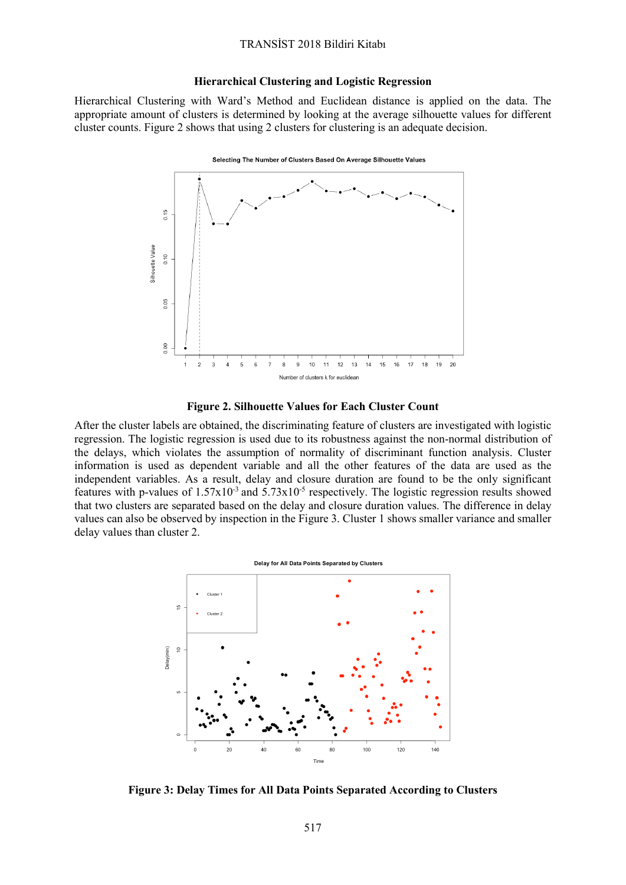#### **Hierarchical Clustering and Logistic Regression**

Hierarchical Clustering with Ward's Method and Euclidean distance is applied on the data. The appropriate amount of clusters is determined by looking at the average silhouette values for different cluster counts. Figure 2 shows that using 2 clusters for clustering is an adequate decision.



**Figure 2. Silhouette Values for Each Cluster Count**

After the cluster labels are obtained, the discriminating feature of clusters are investigated with logistic regression. The logistic regression is used due to its robustness against the non-normal distribution of the delays, which violates the assumption of normality of discriminant function analysis. Cluster information is used as dependent variable and all the other features of the data are used as the independent variables. As a result, delay and closure duration are found to be the only significant features with p-values of  $1.57x10^{-3}$  and  $5.73x10^{-5}$  respectively. The logistic regression results showed that two clusters are separated based on the delay and closure duration values. The difference in delay values can also be observed by inspection in the Figure 3. Cluster 1 shows smaller variance and smaller delay values than cluster 2.



**Figure 3: Delay Times for All Data Points Separated According to Clusters**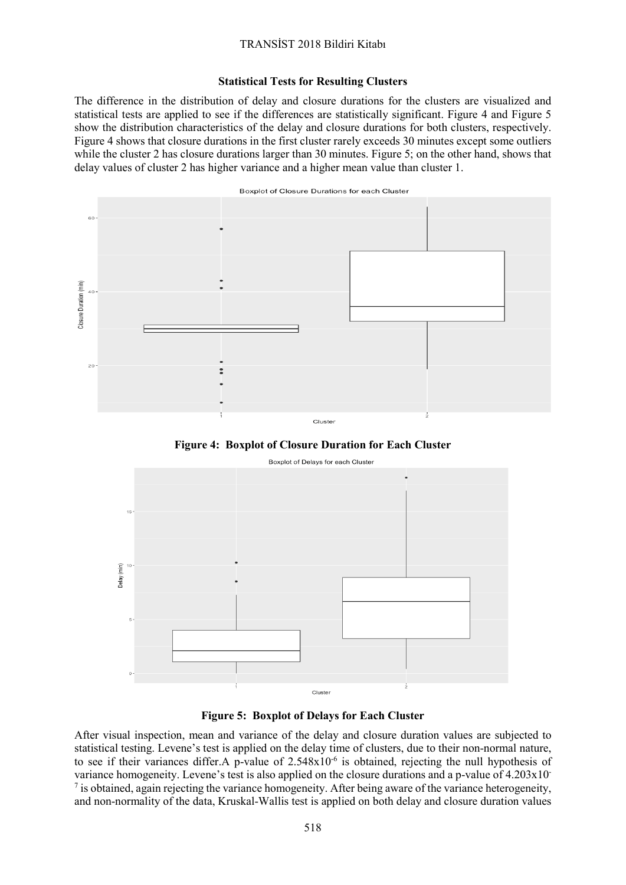# TRANSİST 2018 Bildiri Kitabı

#### **Statistical Tests for Resulting Clusters**

The difference in the distribution of delay and closure durations for the clusters are visualized and statistical tests are applied to see if the differences are statistically significant. Figure 4 and Figure 5 show the distribution characteristics of the delay and closure durations for both clusters, respectively. Figure 4 shows that closure durations in the first cluster rarely exceeds 30 minutes except some outliers while the cluster 2 has closure durations larger than 30 minutes. Figure 5; on the other hand, shows that delay values of cluster 2 has higher variance and a higher mean value than cluster 1.



**Figure 4: Boxplot of Closure Duration for Each Cluster**



**Figure 5: Boxplot of Delays for Each Cluster**

After visual inspection, mean and variance of the delay and closure duration values are subjected to statistical testing. Levene's test is applied on the delay time of clusters, due to their non-normal nature, to see if their variances differ.A p-value of 2.548x10-6 is obtained, rejecting the null hypothesis of variance homogeneity. Levene's test is also applied on the closure durations and a p-value of 4.203x10-  $^7$  is obtained, again rejecting the variance homogeneity. After being aware of the variance heterogeneity, and non-normality of the data, Kruskal-Wallis test is applied on both delay and closure duration values